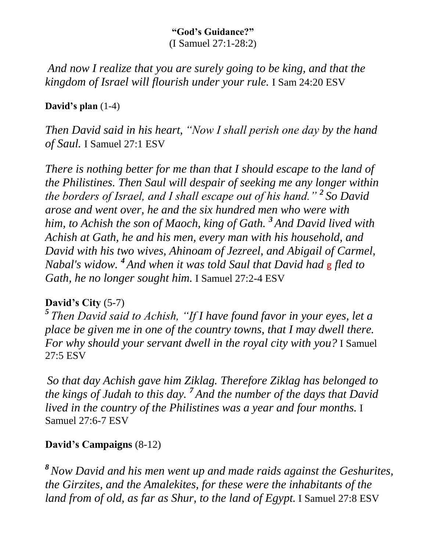#### **"God's Guidance?"** (I Samuel 27:1-28:2)

*And now I realize that you are surely going to be king, and that the kingdom of Israel will flourish under your rule.* I Sam 24:20 ESV

### **David's plan** (1-4)

*Then David said in his heart, "Now I shall perish one day by the hand of Saul.* I Samuel 27:1 ESV

*There is nothing better for me than that I should escape to the land of the Philistines. Then Saul will despair of seeking me any longer within the borders of Israel, and I shall escape out of his hand." <sup>2</sup> So David arose and went over, he and the six hundred men who were with him, to Achish the son of Maoch, king of Gath. <sup>3</sup> And David lived with Achish at Gath, he and his men, every man with his household, and David with his two wives, Ahinoam of Jezreel, and Abigail of Carmel, Nabal's widow. <sup>4</sup> And when it was told Saul that David had* g *fled to Gath, he no longer sought him.* I Samuel 27:2-4 ESV

### **David's City** (5-7)

*5 Then David said to Achish, "If I have found favor in your eyes, let a place be given me in one of the country towns, that I may dwell there. For why should your servant dwell in the royal city with you?* I Samuel 27:5 ESV

*So that day Achish gave him Ziklag. Therefore Ziklag has belonged to the kings of Judah to this day. <sup>7</sup> And the number of the days that David lived in the country of the Philistines was a year and four months.* I Samuel 27:6-7 ESV

## **David's Campaigns** (8-12)

*<sup>8</sup>Now David and his men went up and made raids against the Geshurites, the Girzites, and the Amalekites, for these were the inhabitants of the land from of old, as far as Shur, to the land of Egypt.* I Samuel 27:8 ESV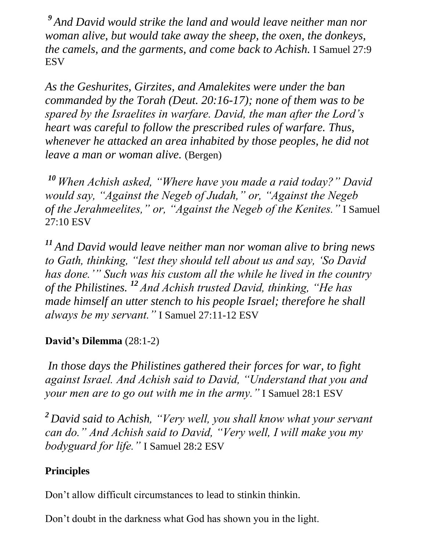*<sup>9</sup> And David would strike the land and would leave neither man nor woman alive, but would take away the sheep, the oxen, the donkeys, the camels, and the garments, and come back to Achish.* I Samuel 27:9 **ESV** 

*As the Geshurites, Girzites, and Amalekites were under the ban commanded by the Torah (Deut. 20:16-17); none of them was to be spared by the Israelites in warfare. David, the man after the Lord's heart was careful to follow the prescribed rules of warfare. Thus, whenever he attacked an area inhabited by those peoples, he did not leave a man or woman alive.* (Bergen)

*<sup>10</sup> When Achish asked, "Where have you made a raid today?" David would say, "Against the Negeb of Judah," or, "Against the Negeb of the Jerahmeelites," or, "Against the Negeb of the Kenites."* I Samuel 27:10 ESV

*<sup>11</sup> And David would leave neither man nor woman alive to bring news to Gath, thinking, "lest they should tell about us and say, 'So David has done.'" Such was his custom all the while he lived in the country of the Philistines. <sup>12</sup> And Achish trusted David, thinking, "He has made himself an utter stench to his people Israel; therefore he shall always be my servant."* I Samuel 27:11-12 ESV

## **David's Dilemma** (28:1-2)

*In those days the Philistines gathered their forces for war, to fight against Israel. And Achish said to David, "Understand that you and your men are to go out with me in the army."* I Samuel 28:1 ESV

*<sup>2</sup> David said to Achish, "Very well, you shall know what your servant can do." And Achish said to David, "Very well, I will make you my bodyguard for life."* I Samuel 28:2 ESV

## **Principles**

Don't allow difficult circumstances to lead to stinkin thinkin.

Don't doubt in the darkness what God has shown you in the light.